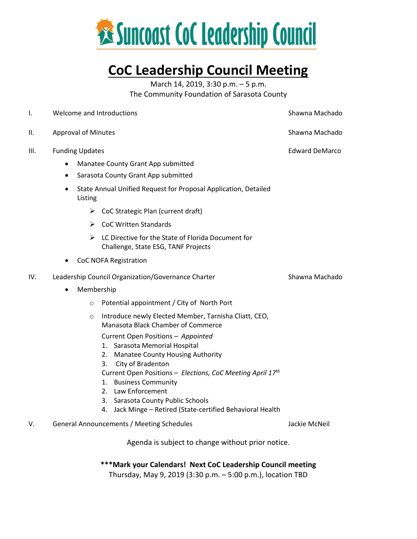

### **CoC Leadership Council Meeting**

March 14, 2019, 3:30 p.m. – 5 p.m. The Community Foundation of Sarasota County

| Ι.   | Welcome and Introductions                                                                                  | Shawna Machado        |
|------|------------------------------------------------------------------------------------------------------------|-----------------------|
| Ш.   | <b>Approval of Minutes</b>                                                                                 | Shawna Machado        |
| III. | <b>Funding Updates</b>                                                                                     | <b>Edward DeMarco</b> |
|      | Manatee County Grant App submitted<br>٠                                                                    |                       |
|      | Sarasota County Grant App submitted<br>$\bullet$                                                           |                       |
|      | State Annual Unified Request for Proposal Application, Detailed<br>$\bullet$<br>Listing                    |                       |
|      | $\triangleright$ CoC Strategic Plan (current draft)                                                        |                       |
|      | $\triangleright$ CoC Written Standards                                                                     |                       |
|      | $\triangleright$ LC Directive for the State of Florida Document for<br>Challenge, State ESG, TANF Projects |                       |
|      | <b>CoC NOFA Registration</b>                                                                               |                       |
| IV.  | Leadership Council Organization/Governance Charter                                                         | Shawna Machado        |
|      | Membership<br>$\bullet$                                                                                    |                       |
|      | Potential appointment / City of North Port<br>$\circ$                                                      |                       |
|      | Introduce newly Elected Member, Tarnisha Cliatt, CEO,<br>$\circ$<br>Manasota Black Chamber of Commerce     |                       |
|      | Current Open Positions - Appointed                                                                         |                       |
|      | 1. Sarasota Memorial Hospital                                                                              |                       |
|      | <b>Manatee County Housing Authority</b><br>2.                                                              |                       |
|      | City of Bradenton<br>3.<br>Current Open Positions - Elections, CoC Meeting April 17th                      |                       |
|      | <b>Business Community</b><br>1.                                                                            |                       |
|      | 2. Law Enforcement                                                                                         |                       |
|      | Sarasota County Public Schools<br>3.                                                                       |                       |
|      | Jack Minge - Retired (State-certified Behavioral Health<br>4.                                              |                       |
| V.   | General Announcements / Meeting Schedules                                                                  | Jackie McNeil         |
|      | Agenda is subject to change without prior notice.                                                          |                       |

**\*\*\*Mark your Calendars! Next CoC Leadership Council meeting**

Thursday, May 9, 2019 (3:30 p.m. – 5:00 p.m.), location TBD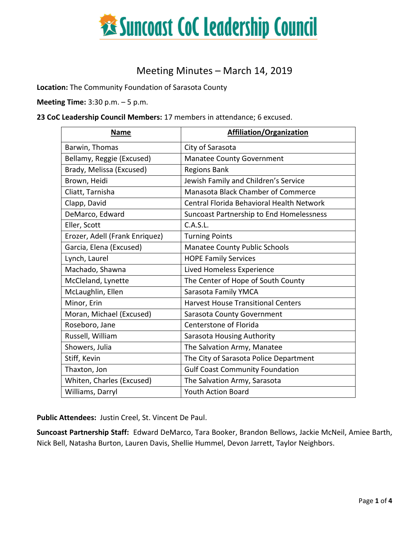

### Meeting Minutes – March 14, 2019

**Location:** The Community Foundation of Sarasota County

**Meeting Time:** 3:30 p.m. – 5 p.m.

**23 CoC Leadership Council Members:** 17 members in attendance; 6 excused.

| <b>Name</b>                    | <b>Affiliation/Organization</b>                  |  |
|--------------------------------|--------------------------------------------------|--|
| Barwin, Thomas                 | City of Sarasota                                 |  |
| Bellamy, Reggie (Excused)      | <b>Manatee County Government</b>                 |  |
| Brady, Melissa (Excused)       | <b>Regions Bank</b>                              |  |
| Brown, Heidi                   | Jewish Family and Children's Service             |  |
| Cliatt, Tarnisha               | <b>Manasota Black Chamber of Commerce</b>        |  |
| Clapp, David                   | <b>Central Florida Behavioral Health Network</b> |  |
| DeMarco, Edward                | Suncoast Partnership to End Homelessness         |  |
| Eller, Scott                   | C.A.S.L.                                         |  |
| Erozer, Adell (Frank Enriquez) | <b>Turning Points</b>                            |  |
| Garcia, Elena (Excused)        | <b>Manatee County Public Schools</b>             |  |
| Lynch, Laurel                  | <b>HOPE Family Services</b>                      |  |
| Machado, Shawna                | Lived Homeless Experience                        |  |
| McCleland, Lynette             | The Center of Hope of South County               |  |
| McLaughlin, Ellen              | Sarasota Family YMCA                             |  |
| Minor, Erin                    | <b>Harvest House Transitional Centers</b>        |  |
| Moran, Michael (Excused)       | Sarasota County Government                       |  |
| Roseboro, Jane                 | Centerstone of Florida                           |  |
| Russell, William               | <b>Sarasota Housing Authority</b>                |  |
| Showers, Julia                 | The Salvation Army, Manatee                      |  |
| Stiff, Kevin                   | The City of Sarasota Police Department           |  |
| Thaxton, Jon                   | <b>Gulf Coast Community Foundation</b>           |  |
| Whiten, Charles (Excused)      | The Salvation Army, Sarasota                     |  |
| Williams, Darryl               | <b>Youth Action Board</b>                        |  |

**Public Attendees:** Justin Creel, St. Vincent De Paul.

**Suncoast Partnership Staff:** Edward DeMarco, Tara Booker, Brandon Bellows, Jackie McNeil, Amiee Barth, Nick Bell, Natasha Burton, Lauren Davis, Shellie Hummel, Devon Jarrett, Taylor Neighbors.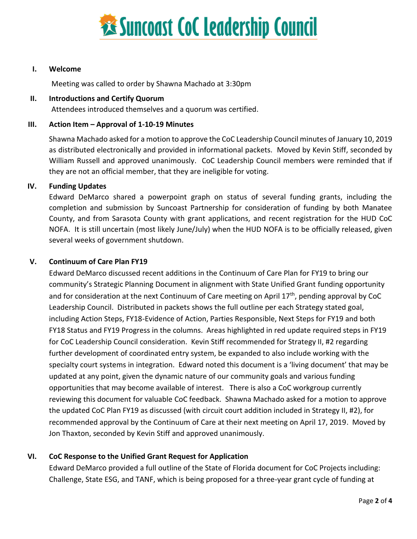

#### **I. Welcome**

Meeting was called to order by Shawna Machado at 3:30pm

#### **II. Introductions and Certify Quorum**

Attendees introduced themselves and a quorum was certified.

#### **III. Action Item – Approval of 1-10-19 Minutes**

Shawna Machado asked for a motion to approve the CoC Leadership Council minutes of January 10, 2019 as distributed electronically and provided in informational packets. Moved by Kevin Stiff, seconded by William Russell and approved unanimously. CoC Leadership Council members were reminded that if they are not an official member, that they are ineligible for voting.

#### **IV. Funding Updates**

Edward DeMarco shared a powerpoint graph on status of several funding grants, including the completion and submission by Suncoast Partnership for consideration of funding by both Manatee County, and from Sarasota County with grant applications, and recent registration for the HUD CoC NOFA. It is still uncertain (most likely June/July) when the HUD NOFA is to be officially released, given several weeks of government shutdown.

#### **V. Continuum of Care Plan FY19**

Edward DeMarco discussed recent additions in the Continuum of Care Plan for FY19 to bring our community's Strategic Planning Document in alignment with State Unified Grant funding opportunity and for consideration at the next Continuum of Care meeting on April 17<sup>th</sup>, pending approval by CoC Leadership Council. Distributed in packets shows the full outline per each Strategy stated goal, including Action Steps, FY18-Evidence of Action, Parties Responsible, Next Steps for FY19 and both FY18 Status and FY19 Progress in the columns. Areas highlighted in red update required steps in FY19 for CoC Leadership Council consideration. Kevin Stiff recommended for Strategy II, #2 regarding further development of coordinated entry system, be expanded to also include working with the specialty court systems in integration. Edward noted this document is a 'living document' that may be updated at any point, given the dynamic nature of our community goals and various funding opportunities that may become available of interest. There is also a CoC workgroup currently reviewing this document for valuable CoC feedback. Shawna Machado asked for a motion to approve the updated CoC Plan FY19 as discussed (with circuit court addition included in Strategy II, #2), for recommended approval by the Continuum of Care at their next meeting on April 17, 2019. Moved by Jon Thaxton, seconded by Kevin Stiff and approved unanimously.

#### **VI. CoC Response to the Unified Grant Request for Application**

Edward DeMarco provided a full outline of the State of Florida document for CoC Projects including: Challenge, State ESG, and TANF, which is being proposed for a three-year grant cycle of funding at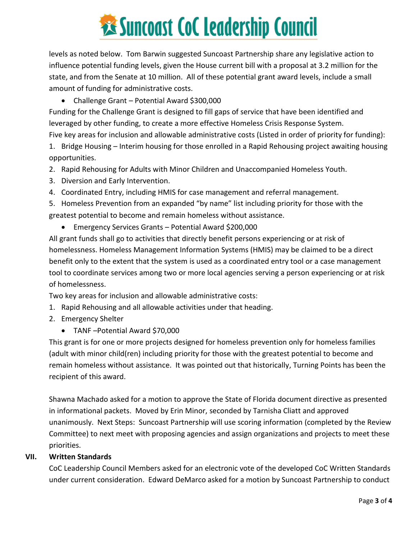# **Executions State Cock Leadership Council**

levels as noted below. Tom Barwin suggested Suncoast Partnership share any legislative action to influence potential funding levels, given the House current bill with a proposal at 3.2 million for the state, and from the Senate at 10 million. All of these potential grant award levels, include a small amount of funding for administrative costs.

#### • Challenge Grant – Potential Award \$300,000

Funding for the Challenge Grant is designed to fill gaps of service that have been identified and leveraged by other funding, to create a more effective Homeless Crisis Response System.

Five key areas for inclusion and allowable administrative costs (Listed in order of priority for funding):

1. Bridge Housing – Interim housing for those enrolled in a Rapid Rehousing project awaiting housing opportunities.

2. Rapid Rehousing for Adults with Minor Children and Unaccompanied Homeless Youth.

- 3. Diversion and Early Intervention.
- 4. Coordinated Entry, including HMIS for case management and referral management.

5. Homeless Prevention from an expanded "by name" list including priority for those with the greatest potential to become and remain homeless without assistance.

• Emergency Services Grants – Potential Award \$200,000

All grant funds shall go to activities that directly benefit persons experiencing or at risk of homelessness. Homeless Management Information Systems (HMIS) may be claimed to be a direct benefit only to the extent that the system is used as a coordinated entry tool or a case management tool to coordinate services among two or more local agencies serving a person experiencing or at risk of homelessness.

Two key areas for inclusion and allowable administrative costs:

- 1. Rapid Rehousing and all allowable activities under that heading.
- 2. Emergency Shelter
	- TANF –Potential Award \$70,000

This grant is for one or more projects designed for homeless prevention only for homeless families (adult with minor child(ren) including priority for those with the greatest potential to become and remain homeless without assistance. It was pointed out that historically, Turning Points has been the recipient of this award.

Shawna Machado asked for a motion to approve the State of Florida document directive as presented in informational packets. Moved by Erin Minor, seconded by Tarnisha Cliatt and approved unanimously. Next Steps: Suncoast Partnership will use scoring information (completed by the Review Committee) to next meet with proposing agencies and assign organizations and projects to meet these priorities.

#### **VII. Written Standards**

CoC Leadership Council Members asked for an electronic vote of the developed CoC Written Standards under current consideration. Edward DeMarco asked for a motion by Suncoast Partnership to conduct